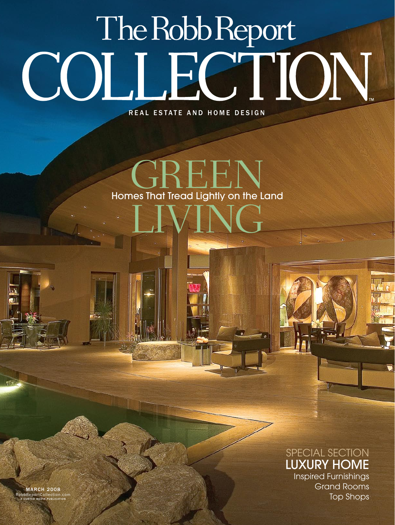## The Robb Report COLLECTION

REAL ESTATE AND HOME DESIGN

## $\left\{ \begin{matrix} \vdots \\ \vdots \\ \vdots \end{matrix} \right\}$ LIVING Homes That Tread Lightly on the Land

## SPECIAL SECTION LUXURY HOME

Inspired Furnishings Grand Rooms Top Shops

**MARCH 2008**  ${\sf RobBReportCollection.c}$ A CURTCO MEDIA PUBLICATION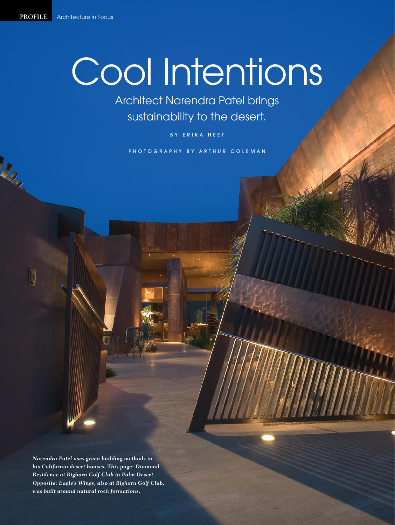March 1

j,

## Cool Intentions

Architect Narendra Patel brings sustainability to the desert.

BY ERIKA HEET

P H O T O G R A P H Y B Y A R T H U R C O L E M A N

*Narendra Patel uses green building methods in his California desert houses. This page: Diamond Residence at Bighorn Golf Club in Palm Desert. Opposite: Eagle's Wings, also at Bighorn Golf Club, was built around natural rock formations.*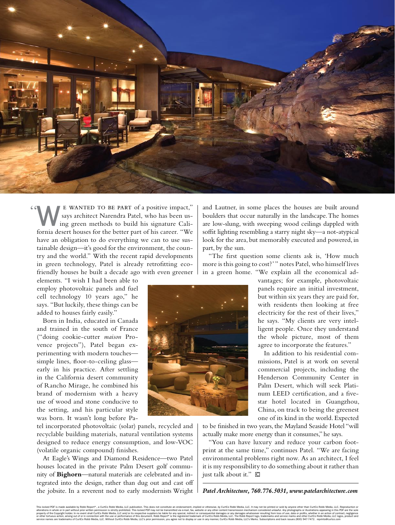

e wanted to be part of a positive impact," says architect Narendra Patel, who has been using green methods to build his signature California desert houses for the better part of his career. "We have an obligation to do everything we can to use sustainable design—it's good for the environment, the country and the world." With the recent rapid developments in green technology, Patel is already retrofitting ecofriendly houses he built a decade ago with even greener

elements. "I wish I had been able to employ photovoltaic panels and fuel cell technology 10 years ago," he says. "But luckily, these things can be added to houses fairly easily."

Born in India, educated in Canada and trained in the south of France ("doing cookie-cutter *maison* Provence projects"), Patel began experimenting with modern touches simple lines, floor-to-ceiling glass early in his practice. After settling in the California desert community of Rancho Mirage, he combined his brand of modernism with a heavy use of wood and stone conducive to the setting, and his particular style was born. It wasn't long before Pa-

tel incorporated photovoltaic (solar) panels, recycled and recyclable building materials, natural ventilation systems designed to reduce energy consumption, and low-VOC (volatile organic compound) finishes.

At Eagle's Wings and Diamond Residence—two Patel houses located in the private Palm Desert golf community of **Bighorn**—natural materials are celebrated and integrated into the design, rather than dug out and cast off the jobsite. In a reverent nod to early modernists Wright and Lautner, in some places the houses are built around boulders that occur naturally in the landscape. The homes are low-slung, with sweeping wood ceilings dappled with soffit lighting resembling a starry night sky—a not-atypical look for the area, but memorably executed and powered, in part, by the sun.

"The first question some clients ask is, 'How much more is this going to cost?' " notes Patel, who himself lives in a green home. "We explain all the economical ad-

> vantages; for example, photovoltaic panels require an initial investment, but within six years they are paid for, with residents then looking at free electricity for the rest of their lives," he says. "My clients are very intelligent people. Once they understand the whole picture, most of them agree to incorporate the features."

> In addition to his residential commissions, Patel is at work on several commercial projects, including the Henderson Community Center in Palm Desert, which will seek Platinum LEED certification, and a fivestar hotel located in Guangzhou, China, on track to being the greenest one of its kind in the world. Expected

to be finished in two years, the Mayland Seaside Hotel "will actually make more energy than it consumes," he says.

"You can have luxury and reduce your carbon footprint at the same time," continues Patel. "We are facing environmental problems right now. As an architect, I feel it is my responsibility to do something about it rather than just talk about it."  $\Box$ 



*Patel Architecture, 760.776.5031, www.patelarchitecture.com*

This locked PDF is made available by Robb Report®, a CurtCo Robb Media, LLC publication. This does not constitute an endorsement, implied or otherwise, by CurtCo Robb Media, LLC. It may not be printed or sold by anyone oth alterations in whole or in part without prior written permission is strictly prohibited. This locked PDF may not be transmitted via e-mail, fax, website or any other content transmission mechanism considered unlawful. Any property of the Copyright holds. In no event shall CurtOs Robb Media, LLC and/or its respective suppliers be liable for any specifie indried troosequented lad anages or any damages or any damages or any damages whatsower r service names are trademarks of CurtCo Robb Media, LLC. Without CurtCo Robb Media, LLC's prior permission, you agree not to display or use in any manner, CurtCo Robb Media, LLC's Marks. Subscriptions and back issues (800)